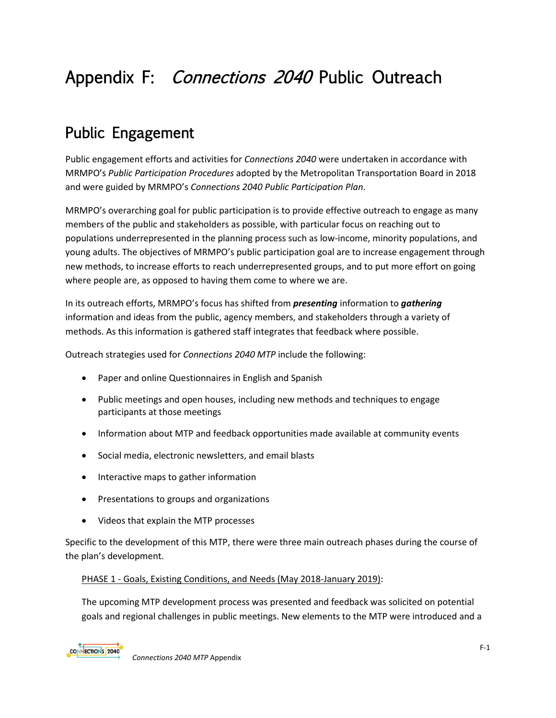# Appendix F: Connections 2040 Public Outreach

## Public Engagement

Public engagement efforts and activities for *Connections 2040* were undertaken in accordance with MRMPO's *Public Participation Procedures* adopted by the Metropolitan Transportation Board in 2018 and were guided by MRMPO's *Connections 2040 Public Participation Plan*.

MRMPO's overarching goal for public participation is to provide effective outreach to engage as many members of the public and stakeholders as possible, with particular focus on reaching out to populations underrepresented in the planning process such as low-income, minority populations, and young adults. The objectives of MRMPO's public participation goal are to increase engagement through new methods, to increase efforts to reach underrepresented groups, and to put more effort on going where people are, as opposed to having them come to where we are.

In its outreach efforts, MRMPO's focus has shifted from *presenting* information to *gathering*  information and ideas from the public, agency members, and stakeholders through a variety of methods. As this information is gathered staff integrates that feedback where possible.

Outreach strategies used for *Connections 2040 MTP* include the following:

- Paper and online Questionnaires in English and Spanish
- Public meetings and open houses, including new methods and techniques to engage participants at those meetings
- Information about MTP and feedback opportunities made available at community events
- Social media, electronic newsletters, and email blasts
- Interactive maps to gather information
- Presentations to groups and organizations
- Videos that explain the MTP processes

Specific to the development of this MTP, there were three main outreach phases during the course of the plan's development.

#### PHASE 1 - Goals, Existing Conditions, and Needs (May 2018-January 2019):

The upcoming MTP development process was presented and feedback was solicited on potential goals and regional challenges in public meetings. New elements to the MTP were introduced and a

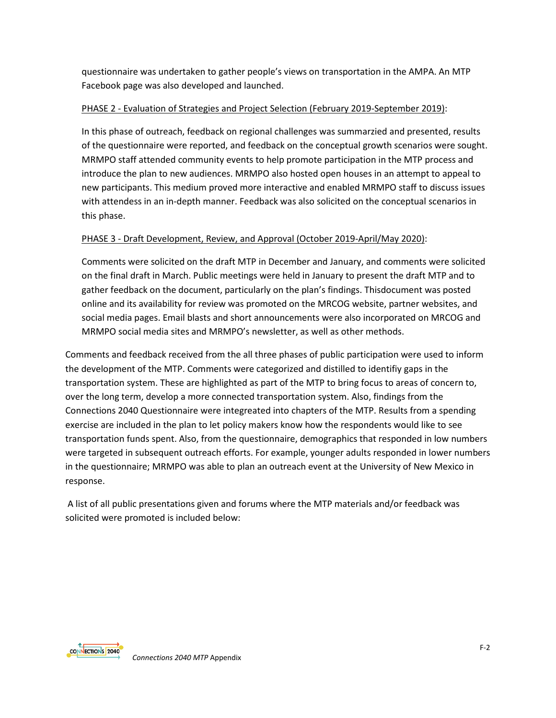questionnaire was undertaken to gather people's views on transportation in the AMPA. An MTP Facebook page was also developed and launched.

#### PHASE 2 - Evaluation of Strategies and Project Selection (February 2019-September 2019):

In this phase of outreach, feedback on regional challenges was summarzied and presented, results of the questionnaire were reported, and feedback on the conceptual growth scenarios were sought. MRMPO staff attended community events to help promote participation in the MTP process and introduce the plan to new audiences. MRMPO also hosted open houses in an attempt to appeal to new participants. This medium proved more interactive and enabled MRMPO staff to discuss issues with attendess in an in-depth manner. Feedback was also solicited on the conceptual scenarios in this phase.

### PHASE 3 - Draft Development, Review, and Approval (October 2019-April/May 2020):

Comments were solicited on the draft MTP in December and January, and comments were solicited on the final draft in March. Public meetings were held in January to present the draft MTP and to gather feedback on the document, particularly on the plan's findings. Thisdocument was posted online and its availability for review was promoted on the MRCOG website, partner websites, and social media pages. Email blasts and short announcements were also incorporated on MRCOG and MRMPO social media sites and MRMPO's newsletter, as well as other methods.

Comments and feedback received from the all three phases of public participation were used to inform the development of the MTP. Comments were categorized and distilled to identifiy gaps in the transportation system. These are highlighted as part of the MTP to bring focus to areas of concern to, over the long term, develop a more connected transportation system. Also, findings from the Connections 2040 Questionnaire were integreated into chapters of the MTP. Results from a spending exercise are included in the plan to let policy makers know how the respondents would like to see transportation funds spent. Also, from the questionnaire, demographics that responded in low numbers were targeted in subsequent outreach efforts. For example, younger adults responded in lower numbers in the questionnaire; MRMPO was able to plan an outreach event at the University of New Mexico in response.

A list of all public presentations given and forums where the MTP materials and/or feedback was solicited were promoted is included below:

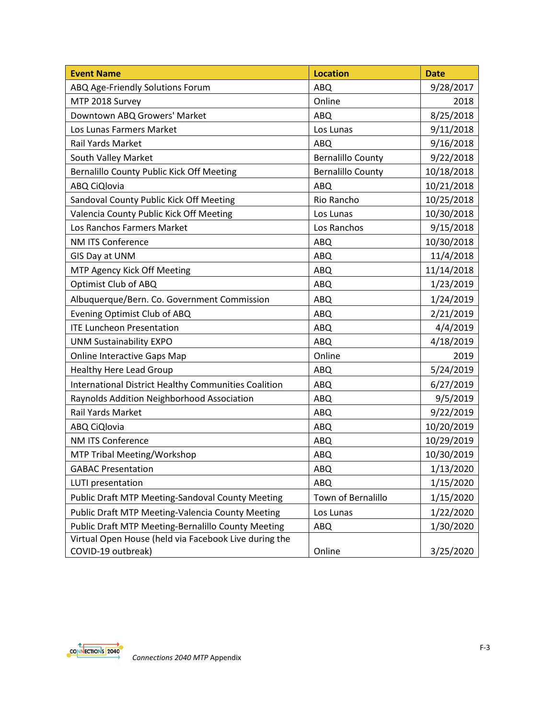| <b>Event Name</b>                                           | <b>Location</b>          | <b>Date</b> |
|-------------------------------------------------------------|--------------------------|-------------|
| ABQ Age-Friendly Solutions Forum                            | <b>ABQ</b>               | 9/28/2017   |
| MTP 2018 Survey                                             | Online                   | 2018        |
| Downtown ABQ Growers' Market                                | ABQ                      | 8/25/2018   |
| Los Lunas Farmers Market                                    | Los Lunas                | 9/11/2018   |
| Rail Yards Market                                           | ABQ                      | 9/16/2018   |
| South Valley Market                                         | <b>Bernalillo County</b> | 9/22/2018   |
| Bernalillo County Public Kick Off Meeting                   | <b>Bernalillo County</b> | 10/18/2018  |
| ABQ CiQlovia                                                | ABQ                      | 10/21/2018  |
| Sandoval County Public Kick Off Meeting                     | Rio Rancho               | 10/25/2018  |
| Valencia County Public Kick Off Meeting                     | Los Lunas                | 10/30/2018  |
| Los Ranchos Farmers Market                                  | Los Ranchos              | 9/15/2018   |
| <b>NM ITS Conference</b>                                    | ABQ                      | 10/30/2018  |
| GIS Day at UNM                                              | <b>ABQ</b>               | 11/4/2018   |
| MTP Agency Kick Off Meeting                                 | ABQ                      | 11/14/2018  |
| Optimist Club of ABQ                                        | ABQ                      | 1/23/2019   |
| Albuquerque/Bern. Co. Government Commission                 | <b>ABQ</b>               | 1/24/2019   |
| Evening Optimist Club of ABQ                                | ABQ                      | 2/21/2019   |
| <b>ITE Luncheon Presentation</b>                            | ABQ                      | 4/4/2019    |
| <b>UNM Sustainability EXPO</b>                              | ABQ                      | 4/18/2019   |
| <b>Online Interactive Gaps Map</b>                          | Online                   | 2019        |
| <b>Healthy Here Lead Group</b>                              | <b>ABQ</b>               | 5/24/2019   |
| <b>International District Healthy Communities Coalition</b> | ABQ                      | 6/27/2019   |
| Raynolds Addition Neighborhood Association                  | <b>ABQ</b>               | 9/5/2019    |
| Rail Yards Market                                           | ABQ                      | 9/22/2019   |
| ABQ CiQlovia                                                | ABQ                      | 10/20/2019  |
| NM ITS Conference                                           | <b>ABQ</b>               | 10/29/2019  |
| MTP Tribal Meeting/Workshop                                 | ABQ                      | 10/30/2019  |
| <b>GABAC Presentation</b>                                   | ABQ                      | 1/13/2020   |
| LUTI presentation                                           | ABQ                      | 1/15/2020   |
| Public Draft MTP Meeting-Sandoval County Meeting            | Town of Bernalillo       | 1/15/2020   |
| Public Draft MTP Meeting-Valencia County Meeting            | Los Lunas                | 1/22/2020   |
| Public Draft MTP Meeting-Bernalillo County Meeting          | ABQ                      | 1/30/2020   |
| Virtual Open House (held via Facebook Live during the       |                          |             |
| COVID-19 outbreak)                                          | Online                   | 3/25/2020   |